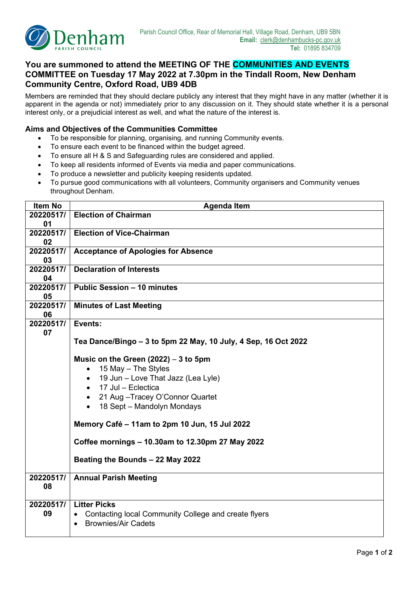

## **You are summoned to attend the MEETING OF THE COMMUNITIES AND EVENTS COMMITTEE on Tuesday 17 May 2022 at 7.30pm in the Tindall Room, New Denham Community Centre, Oxford Road, UB9 4DB**

Members are reminded that they should declare publicly any interest that they might have in any matter (whether it is apparent in the agenda or not) immediately prior to any discussion on it. They should state whether it is a personal interest only, or a prejudicial interest as well, and what the nature of the interest is.

## **Aims and Objectives of the Communities Committee**

- To be responsible for planning, organising, and running Community events.
- To ensure each event to be financed within the budget agreed.
- To ensure all H & S and Safeguarding rules are considered and applied.
- To keep all residents informed of Events via media and paper communications.
- To produce a newsletter and publicity keeping residents updated.
- To pursue good communications with all volunteers, Community organisers and Community venues throughout Denham.

| <b>Item No</b> | <b>Agenda Item</b>                                             |  |  |  |  |
|----------------|----------------------------------------------------------------|--|--|--|--|
| 20220517/      | <b>Election of Chairman</b>                                    |  |  |  |  |
| 01             |                                                                |  |  |  |  |
| 20220517/      | <b>Election of Vice-Chairman</b>                               |  |  |  |  |
| 02             |                                                                |  |  |  |  |
| 20220517/      | <b>Acceptance of Apologies for Absence</b>                     |  |  |  |  |
| 03             |                                                                |  |  |  |  |
| 20220517/      | <b>Declaration of Interests</b>                                |  |  |  |  |
| 04             |                                                                |  |  |  |  |
| 20220517/      | <b>Public Session - 10 minutes</b>                             |  |  |  |  |
| 05             |                                                                |  |  |  |  |
| 20220517/      | <b>Minutes of Last Meeting</b>                                 |  |  |  |  |
| 06             |                                                                |  |  |  |  |
| 20220517/      | Events:                                                        |  |  |  |  |
| 07             |                                                                |  |  |  |  |
|                | Tea Dance/Bingo – 3 to 5pm 22 May, 10 July, 4 Sep, 16 Oct 2022 |  |  |  |  |
|                |                                                                |  |  |  |  |
|                | Music on the Green $(2022) - 3$ to 5pm                         |  |  |  |  |
|                | 15 May - The Styles<br>$\bullet$                               |  |  |  |  |
|                | 19 Jun - Love That Jazz (Lea Lyle)<br>$\bullet$                |  |  |  |  |
|                | $\bullet$ 17 Jul - Eclectica                                   |  |  |  |  |
|                | • 21 Aug - Tracey O'Connor Quartet                             |  |  |  |  |
|                | 18 Sept - Mandolyn Mondays<br>$\bullet$                        |  |  |  |  |
|                |                                                                |  |  |  |  |
|                | Memory Café - 11am to 2pm 10 Jun, 15 Jul 2022                  |  |  |  |  |
|                | Coffee mornings - 10.30am to 12.30pm 27 May 2022               |  |  |  |  |
|                |                                                                |  |  |  |  |
|                | Beating the Bounds - 22 May 2022                               |  |  |  |  |
|                |                                                                |  |  |  |  |
| 20220517/      | <b>Annual Parish Meeting</b>                                   |  |  |  |  |
| 08             |                                                                |  |  |  |  |
|                |                                                                |  |  |  |  |
| 20220517/      | <b>Litter Picks</b>                                            |  |  |  |  |
| 09             | Contacting local Community College and create flyers           |  |  |  |  |
|                | <b>Brownies/Air Cadets</b><br>$\bullet$                        |  |  |  |  |
|                |                                                                |  |  |  |  |